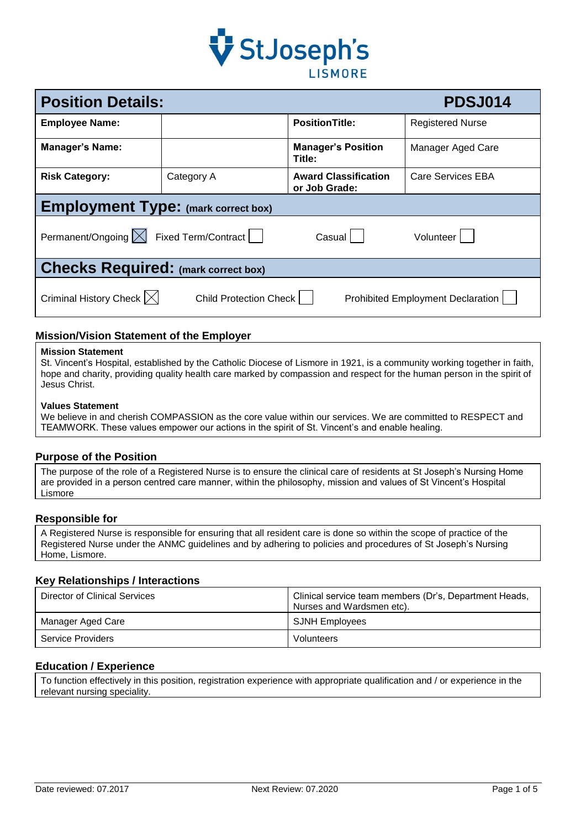

| <b>Position Details:</b><br><b>PDSJ014</b>                                                                 |            |                                              |                         |  |
|------------------------------------------------------------------------------------------------------------|------------|----------------------------------------------|-------------------------|--|
| <b>Employee Name:</b>                                                                                      |            | <b>PositionTitle:</b>                        | <b>Registered Nurse</b> |  |
| <b>Manager's Name:</b>                                                                                     |            | <b>Manager's Position</b><br>Title:          | Manager Aged Care       |  |
| <b>Risk Category:</b>                                                                                      | Category A | <b>Award Classification</b><br>or Job Grade: | Care Services EBA       |  |
| <b>Employment Type: (mark correct box)</b>                                                                 |            |                                              |                         |  |
| Permanent/Ongoing   Fixed Term/Contract<br>Casual  <br>Volunteer                                           |            |                                              |                         |  |
| <b>Checks Required: (mark correct box)</b>                                                                 |            |                                              |                         |  |
| Criminal History Check $\vert \times \vert$<br>Child Protection Check<br>Prohibited Employment Declaration |            |                                              |                         |  |

# **Mission/Vision Statement of the Employer**

#### **Mission Statement**

St. Vincent's Hospital, established by the Catholic Diocese of Lismore in 1921, is a community working together in faith, hope and charity, providing quality health care marked by compassion and respect for the human person in the spirit of Jesus Christ.

#### **Values Statement**

We believe in and cherish COMPASSION as the core value within our services. We are committed to RESPECT and TEAMWORK. These values empower our actions in the spirit of St. Vincent's and enable healing.

#### **Purpose of the Position**

The purpose of the role of a Registered Nurse is to ensure the clinical care of residents at St Joseph's Nursing Home are provided in a person centred care manner, within the philosophy, mission and values of St Vincent's Hospital **Lismore** 

#### **Responsible for**

A Registered Nurse is responsible for ensuring that all resident care is done so within the scope of practice of the Registered Nurse under the ANMC guidelines and by adhering to policies and procedures of St Joseph's Nursing Home, Lismore.

## **Key Relationships / Interactions**

| Director of Clinical Services | Clinical service team members (Dr's, Department Heads,<br>Nurses and Wardsmen etc). |
|-------------------------------|-------------------------------------------------------------------------------------|
| Manager Aged Care             | <b>SJNH Employees</b>                                                               |
| Service Providers             | Volunteers                                                                          |

### **Education / Experience**

To function effectively in this position, registration experience with appropriate qualification and / or experience in the relevant nursing speciality.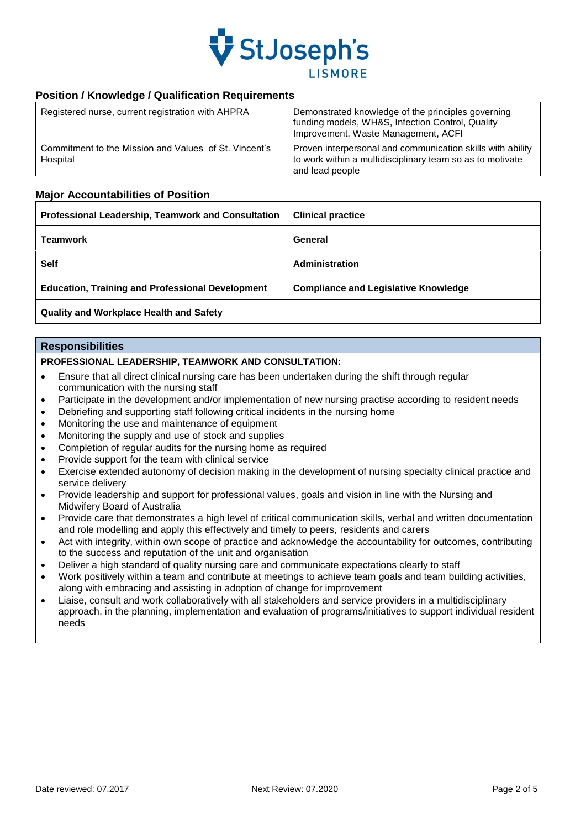

# **Position / Knowledge / Qualification Requirements**

| Registered nurse, current registration with AHPRA                 | Demonstrated knowledge of the principles governing<br>funding models, WH&S, Infection Control, Quality<br>Improvement, Waste Management, ACFI |
|-------------------------------------------------------------------|-----------------------------------------------------------------------------------------------------------------------------------------------|
| Commitment to the Mission and Values of St. Vincent's<br>Hospital | Proven interpersonal and communication skills with ability<br>to work within a multidisciplinary team so as to motivate<br>and lead people    |

### **Major Accountabilities of Position**

| Professional Leadership, Teamwork and Consultation      | <b>Clinical practice</b>                    |
|---------------------------------------------------------|---------------------------------------------|
| <b>Teamwork</b>                                         | General                                     |
| <b>Self</b>                                             | Administration                              |
| <b>Education, Training and Professional Development</b> | <b>Compliance and Legislative Knowledge</b> |
| <b>Quality and Workplace Health and Safety</b>          |                                             |

### **Responsibilities**

### **PROFESSIONAL LEADERSHIP, TEAMWORK AND CONSULTATION:**

- Ensure that all direct clinical nursing care has been undertaken during the shift through regular communication with the nursing staff
- Participate in the development and/or implementation of new nursing practise according to resident needs
- Debriefing and supporting staff following critical incidents in the nursing home
- Monitoring the use and maintenance of equipment
- Monitoring the supply and use of stock and supplies
- Completion of regular audits for the nursing home as required
- Provide support for the team with clinical service
- Exercise extended autonomy of decision making in the development of nursing specialty clinical practice and service delivery
- Provide leadership and support for professional values, goals and vision in line with the Nursing and Midwifery Board of Australia
- Provide care that demonstrates a high level of critical communication skills, verbal and written documentation and role modelling and apply this effectively and timely to peers, residents and carers
- Act with integrity, within own scope of practice and acknowledge the accountability for outcomes, contributing to the success and reputation of the unit and organisation
- Deliver a high standard of quality nursing care and communicate expectations clearly to staff
- Work positively within a team and contribute at meetings to achieve team goals and team building activities, along with embracing and assisting in adoption of change for improvement
- Liaise, consult and work collaboratively with all stakeholders and service providers in a multidisciplinary approach, in the planning, implementation and evaluation of programs/initiatives to support individual resident needs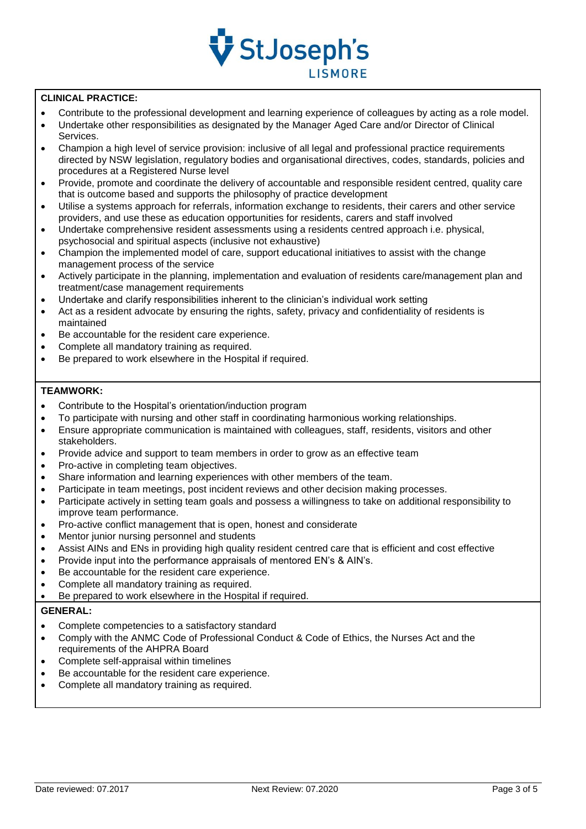

### **CLINICAL PRACTICE:**

- Contribute to the professional development and learning experience of colleagues by acting as a role model.
- Undertake other responsibilities as designated by the Manager Aged Care and/or Director of Clinical Services.
- Champion a high level of service provision: inclusive of all legal and professional practice requirements directed by NSW legislation, regulatory bodies and organisational directives, codes, standards, policies and procedures at a Registered Nurse level
- Provide, promote and coordinate the delivery of accountable and responsible resident centred, quality care that is outcome based and supports the philosophy of practice development
- Utilise a systems approach for referrals, information exchange to residents, their carers and other service providers, and use these as education opportunities for residents, carers and staff involved
- Undertake comprehensive resident assessments using a residents centred approach i.e. physical, psychosocial and spiritual aspects (inclusive not exhaustive)
- Champion the implemented model of care, support educational initiatives to assist with the change management process of the service
- Actively participate in the planning, implementation and evaluation of residents care/management plan and treatment/case management requirements
- Undertake and clarify responsibilities inherent to the clinician's individual work setting
- Act as a resident advocate by ensuring the rights, safety, privacy and confidentiality of residents is maintained
- Be accountable for the resident care experience.
- Complete all mandatory training as required.
- Be prepared to work elsewhere in the Hospital if required.

### **TEAMWORK:**

- Contribute to the Hospital's orientation/induction program
- To participate with nursing and other staff in coordinating harmonious working relationships.
- Ensure appropriate communication is maintained with colleagues, staff, residents, visitors and other stakeholders.
- Provide advice and support to team members in order to grow as an effective team
- Pro-active in completing team objectives.
- Share information and learning experiences with other members of the team.
- Participate in team meetings, post incident reviews and other decision making processes.
- Participate actively in setting team goals and possess a willingness to take on additional responsibility to improve team performance.
- Pro-active conflict management that is open, honest and considerate
- Mentor junior nursing personnel and students
- Assist AINs and ENs in providing high quality resident centred care that is efficient and cost effective
- Provide input into the performance appraisals of mentored EN's & AIN's.
- Be accountable for the resident care experience.
- Complete all mandatory training as required.
- Be prepared to work elsewhere in the Hospital if required.

## **GENERAL:**

- Complete competencies to a satisfactory standard
- Comply with the ANMC Code of Professional Conduct & Code of Ethics, the Nurses Act and the requirements of the AHPRA Board
- Complete self-appraisal within timelines
- Be accountable for the resident care experience.
- Complete all mandatory training as required.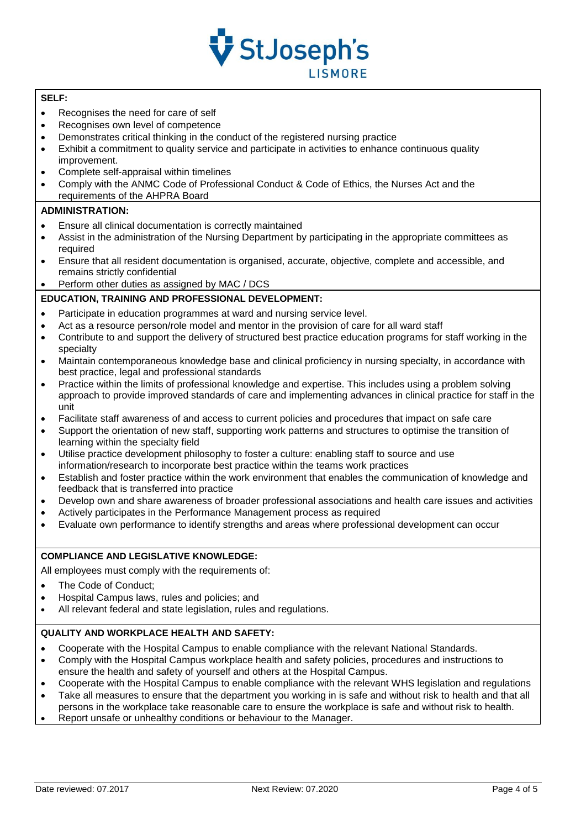

## **SELF:**

- Recognises the need for care of self
- Recognises own level of competence
- Demonstrates critical thinking in the conduct of the registered nursing practice
- Exhibit a commitment to quality service and participate in activities to enhance continuous quality improvement.
- Complete self-appraisal within timelines
- Comply with the ANMC Code of Professional Conduct & Code of Ethics, the Nurses Act and the requirements of the AHPRA Board

## **ADMINISTRATION:**

- Ensure all clinical documentation is correctly maintained
- Assist in the administration of the Nursing Department by participating in the appropriate committees as required
- Ensure that all resident documentation is organised, accurate, objective, complete and accessible, and remains strictly confidential
- Perform other duties as assigned by MAC / DCS

### **EDUCATION, TRAINING AND PROFESSIONAL DEVELOPMENT:**

- Participate in education programmes at ward and nursing service level.
- Act as a resource person/role model and mentor in the provision of care for all ward staff
- Contribute to and support the delivery of structured best practice education programs for staff working in the specialty
- Maintain contemporaneous knowledge base and clinical proficiency in nursing specialty, in accordance with best practice, legal and professional standards
- Practice within the limits of professional knowledge and expertise. This includes using a problem solving approach to provide improved standards of care and implementing advances in clinical practice for staff in the unit
- Facilitate staff awareness of and access to current policies and procedures that impact on safe care
- Support the orientation of new staff, supporting work patterns and structures to optimise the transition of learning within the specialty field
- Utilise practice development philosophy to foster a culture: enabling staff to source and use information/research to incorporate best practice within the teams work practices
- Establish and foster practice within the work environment that enables the communication of knowledge and feedback that is transferred into practice
- Develop own and share awareness of broader professional associations and health care issues and activities
- Actively participates in the Performance Management process as required
- Evaluate own performance to identify strengths and areas where professional development can occur

# **COMPLIANCE AND LEGISLATIVE KNOWLEDGE:**

All employees must comply with the requirements of:

- The Code of Conduct;
- Hospital Campus laws, rules and policies; and
- All relevant federal and state legislation, rules and regulations.

### **QUALITY AND WORKPLACE HEALTH AND SAFETY:**

- Cooperate with the Hospital Campus to enable compliance with the relevant National Standards.
- Comply with the Hospital Campus workplace health and safety policies, procedures and instructions to ensure the health and safety of yourself and others at the Hospital Campus.
- Cooperate with the Hospital Campus to enable compliance with the relevant WHS legislation and regulations
- Take all measures to ensure that the department you working in is safe and without risk to health and that all persons in the workplace take reasonable care to ensure the workplace is safe and without risk to health.
- Report unsafe or unhealthy conditions or behaviour to the Manager.